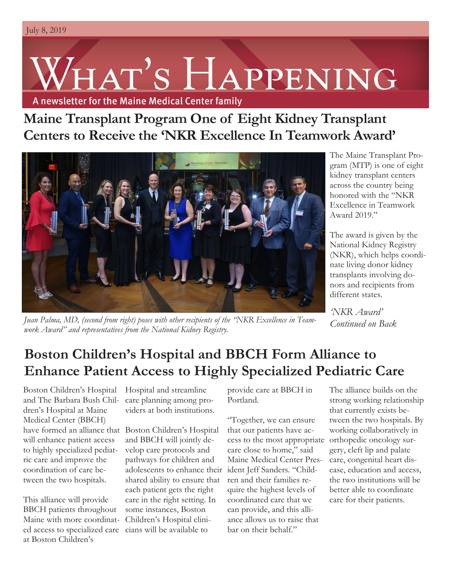# HAT'S HAPPENING

A newsletter for the Maine Medical Center family

**Maine Transplant Program One of Eight Kidney Transplant Centers to Receive the 'NKR Excellence In Teamwork Award'**



The Maine Transplant Program (MTP) is one of eight kidney transplant centers across the country being honored with the "NKR Excellence in Teamwork Award 2019."

The award is given by the National Kidney Registry (NKR), which helps coordinate living donor kidney transplants involving donors and recipients from different states.

*Juan Palma, MD, (second from right) poses with other recipients of the "NKR Excellence in Teamwork Award" and representatives from the National Kidney Registry.*

*'NKR Award' Continued on Back*

# **Boston Children's Hospital and BBCH Form Alliance to Enhance Patient Access to Highly Specialized Pediatric Care**

Boston Children's Hospital and The Barbara Bush Children's Hospital at Maine Medical Center (BBCH) have formed an alliance that Boston Children's Hospital will enhance patient access to highly specialized pediatric care and improve the coordination of care between the two hospitals.

This alliance will provide BBCH patients throughout Maine with more coordinated access to specialized care at Boston Children's

Hospital and streamline care planning among providers at both institutions.

and BBCH will jointly develop care protocols and pathways for children and adolescents to enhance their ident Jeff Sanders. "Childshared ability to ensure that each patient gets the right care in the right setting. In some instances, Boston Children's Hospital clinicians will be available to

provide care at BBCH in Portland.

"Together, we can ensure that our patients have access to the most appropriate care close to home," said Maine Medical Center Presren and their families require the highest levels of coordinated care that we can provide, and this alliance allows us to raise that bar on their behalf"

The alliance builds on the strong working relationship that currently exists between the two hospitals. By working collaboratively in orthopedic oncology surgery, cleft lip and palate care, congenital heart disease, education and access, the two institutions will be better able to coordinate care for their patients.